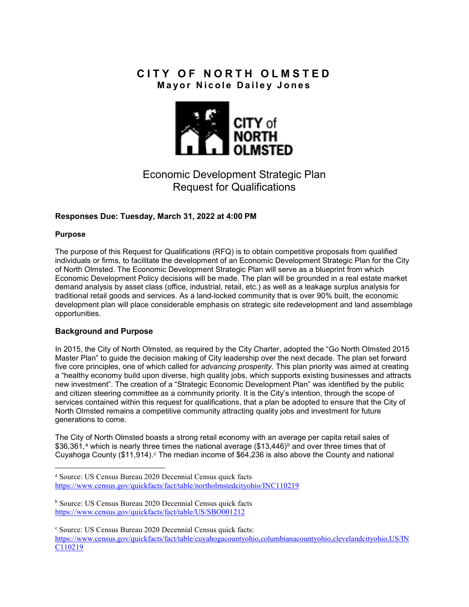## **CITY OF NORTH OLMSTED Mayor Nicole Dailey Jones**



# Economic Development Strategic Plan Request for Qualifications

## **Responses Due: Tuesday, March 31, 2022 at 4:00 PM**

### **Purpose**

The purpose of this Request for Qualifications (RFQ) is to obtain competitive proposals from qualified individuals or firms, to facilitate the development of an Economic Development Strategic Plan for the City of North Olmsted. The Economic Development Strategic Plan will serve as a blueprint from which Economic Development Policy decisions will be made. The plan will be grounded in a real estate market demand analysis by asset class (office, industrial, retail, etc.) as well as a leakage surplus analysis for traditional retail goods and services. As a land-locked community that is over 90% built, the economic development plan will place considerable emphasis on strategic site redevelopment and land assemblage opportunities.

### **Background and Purpose**

In 2015, the City of North Olmsted, as required by the City Charter, adopted the "Go North Olmsted 2015 Master Plan" to guide the decision making of City leadership over the next decade. The plan set forward five core principles, one of which called for *advancing prosperity.* This plan priority was aimed at creating a "healthy economy build upon diverse, high quality jobs, which supports existing businesses and attracts new investment". The creation of a "Strategic Economic Development Plan" was identified by the public and citizen steering committee as a community priority. It is the City's intention, through the scope of services contained within this request for qualifications, that a plan be adopted to ensure that the City of North Olmsted remains a competitive community attracting quality jobs and investment for future generations to come.

The City of North Olmsted boasts a strong retail economy with an average per capita retail sales of \$36,361,<sup>[a](#page-3-0)</sup> which is nearly three times the national average (\$13,446)<sup>[b](#page-0-0)</sup> and over three times that of Cuyahoga County  $$11,914$ .  $\textdegree$  The median in[c](#page-0-1)ome of \$64,236 is also above the County and national

a Source: US Census Bureau 2020 Decennial Census quick facts <https://www.census.gov/quickfacts/fact/table/northolmstedcityohio/INC110219>

<span id="page-0-0"></span><sup>b</sup> Source: US Census Bureau 2020 Decennial Census quick facts <https://www.census.gov/quickfacts/fact/table/US/SBO001212>

<span id="page-0-1"></span><sup>c</sup> Source: US Census Bureau 2020 Decennial Census quick facts: [https://www.census.gov/quickfacts/fact/table/cuyahogacountyohio,columbianacountyohio,clevelandcityohio,US/IN](https://www.census.gov/quickfacts/fact/table/cuyahogacountyohio,columbianacountyohio,clevelandcityohio,US/INC110219) [C110219](https://www.census.gov/quickfacts/fact/table/cuyahogacountyohio,columbianacountyohio,clevelandcityohio,US/INC110219)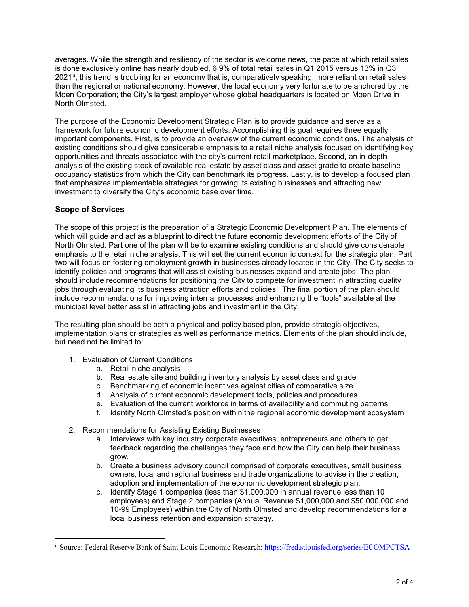averages. While the strength and resiliency of the sector is welcome news, the pace at which retail sales is done exclusively online has nearly doubled, 6.9% of total retail sales in Q1 2015 versus 13% in Q3 2021[d](#page-1-0), this trend is troubling for an economy that is, comparatively speaking, more reliant on retail sales than the regional or national economy. However, the local economy very fortunate to be anchored by the Moen Corporation; the City's largest employer whose global headquarters is located on Moen Drive in North Olmsted.

The purpose of the Economic Development Strategic Plan is to provide guidance and serve as a framework for future economic development efforts. Accomplishing this goal requires three equally important components. First, is to provide an overview of the current economic conditions. The analysis of existing conditions should give considerable emphasis to a retail niche analysis focused on identifying key opportunities and threats associated with the city's current retail marketplace. Second, an in-depth analysis of the existing stock of available real estate by asset class and asset grade to create baseline occupancy statistics from which the City can benchmark its progress. Lastly, is to develop a focused plan that emphasizes implementable strategies for growing its existing businesses and attracting new investment to diversify the City's economic base over time.

## **Scope of Services**

The scope of this project is the preparation of a Strategic Economic Development Plan. The elements of which will guide and act as a blueprint to direct the future economic development efforts of the City of North Olmsted. Part one of the plan will be to examine existing conditions and should give considerable emphasis to the retail niche analysis. This will set the current economic context for the strategic plan. Part two will focus on fostering employment growth in businesses already located in the City. The City seeks to identify policies and programs that will assist existing businesses expand and create jobs. The plan should include recommendations for positioning the City to compete for investment in attracting quality jobs through evaluating its business attraction efforts and policies. The final portion of the plan should include recommendations for improving internal processes and enhancing the "tools" available at the municipal level better assist in attracting jobs and investment in the City.

The resulting plan should be both a physical and policy based plan, provide strategic objectives, implementation plans or strategies as well as performance metrics. Elements of the plan should include, but need not be limited to:

- 1. Evaluation of Current Conditions
	- a. Retail niche analysis
	- b. Real estate site and building inventory analysis by asset class and grade
	- c. Benchmarking of economic incentives against cities of comparative size
	- d. Analysis of current economic development tools, policies and procedures
	- e. Evaluation of the current workforce in terms of availability and commuting patterns
	- f. Identify North Olmsted's position within the regional economic development ecosystem
- 2. Recommendations for Assisting Existing Businesses
	- a. Interviews with key industry corporate executives, entrepreneurs and others to get feedback regarding the challenges they face and how the City can help their business grow.
	- b. Create a business advisory council comprised of corporate executives, small business owners, local and regional business and trade organizations to advise in the creation, adoption and implementation of the economic development strategic plan.
	- c. Identify Stage 1 companies (less than \$1,000,000 in annual revenue less than 10 employees) and Stage 2 companies (Annual Revenue \$1,000,000 and \$50,000,000 and 10-99 Employees) within the City of North Olmsted and develop recommendations for a local business retention and expansion strategy.

<span id="page-1-0"></span>d Source: Federal Reserve Bank of Saint Louis Economic Research[: https://fred.stlouisfed.org/series/ECOMPCTSA](https://fred.stlouisfed.org/series/ECOMPCTSA)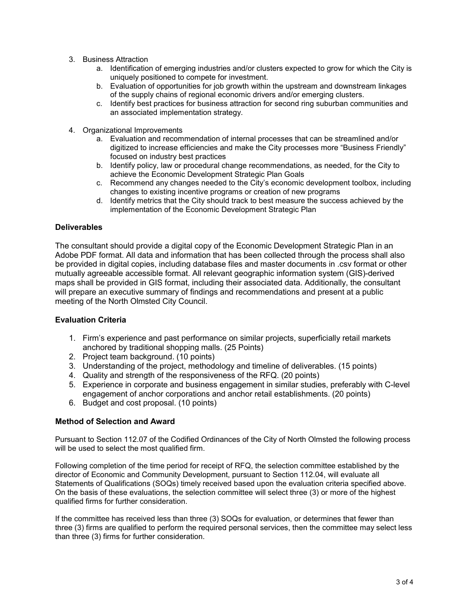- 3. Business Attraction
	- a. Identification of emerging industries and/or clusters expected to grow for which the City is uniquely positioned to compete for investment.
	- b. Evaluation of opportunities for job growth within the upstream and downstream linkages of the supply chains of regional economic drivers and/or emerging clusters.
	- c. Identify best practices for business attraction for second ring suburban communities and an associated implementation strategy.
- 4. Organizational Improvements
	- a. Evaluation and recommendation of internal processes that can be streamlined and/or digitized to increase efficiencies and make the City processes more "Business Friendly" focused on industry best practices
	- b. Identify policy, law or procedural change recommendations, as needed, for the City to achieve the Economic Development Strategic Plan Goals
	- c. Recommend any changes needed to the City's economic development toolbox, including changes to existing incentive programs or creation of new programs
	- d. Identify metrics that the City should track to best measure the success achieved by the implementation of the Economic Development Strategic Plan

### **Deliverables**

The consultant should provide a digital copy of the Economic Development Strategic Plan in an Adobe PDF format. All data and information that has been collected through the process shall also be provided in digital copies, including database files and master documents in .csv format or other mutually agreeable accessible format. All relevant geographic information system (GIS)-derived maps shall be provided in GIS format, including their associated data. Additionally, the consultant will prepare an executive summary of findings and recommendations and present at a public meeting of the North Olmsted City Council.

### **Evaluation Criteria**

- 1. Firm's experience and past performance on similar projects, superficially retail markets anchored by traditional shopping malls. (25 Points)
- 2. Project team background. (10 points)
- 3. Understanding of the project, methodology and timeline of deliverables. (15 points)
- 4. Quality and strength of the responsiveness of the RFQ. (20 points)
- 5. Experience in corporate and business engagement in similar studies, preferably with C-level engagement of anchor corporations and anchor retail establishments. (20 points)
- 6. Budget and cost proposal. (10 points)

### **Method of Selection and Award**

Pursuant to Section 112.07 of the Codified Ordinances of the City of North Olmsted the following process will be used to select the most qualified firm.

Following completion of the time period for receipt of RFQ, the selection committee established by the director of Economic and Community Development, pursuant to Section 112.04, will evaluate all Statements of Qualifications (SOQs) timely received based upon the evaluation criteria specified above. On the basis of these evaluations, the selection committee will select three (3) or more of the highest qualified firms for further consideration.

If the committee has received less than three (3) SOQs for evaluation, or determines that fewer than three (3) firms are qualified to perform the required personal services, then the committee may select less than three (3) firms for further consideration.